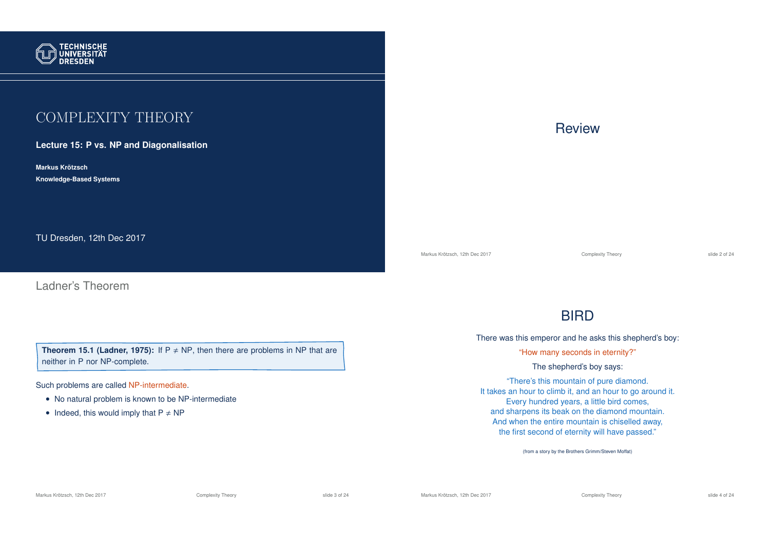

## COMPLEXITY THEORY

**Lecture 15: P vs. NP and Diagonalisation**

**Markus Krotzsch ¨ Knowledge-Based Systems**

TU Dresden, 12th Dec 2017

Ladner's Theorem

**Theorem 15.1 (Ladner, 1975):** If  $P \neq NP$ , then there are problems in NP that are neither in P nor NP-complete.

Such problems are called NP-intermediate.

- No natural problem is known to be NP-intermediate
- Indeed, this would imply that  $P \neq NP$

## **Review**

Markus Krötzsch, 12th Dec 2017 **Complexity Theory** Complexity Theory slide 2 of 24

## **BIRD**

There was this emperor and he asks this shepherd's boy:

"How many seconds in eternity?"

The shepherd's boy says:

"There's this mountain of pure diamond. It takes an hour to climb it, and an hour to go around it. Every hundred years, a little bird comes, and sharpens its beak on the diamond mountain. And when the entire mountain is chiselled away, the first second of eternity will have passed."

(from a story by the Brothers Grimm/Steven Moffat)

Markus Krötzsch, 12th Dec 2017 **Complexity Theory** Complexity Theory slide 3 of 24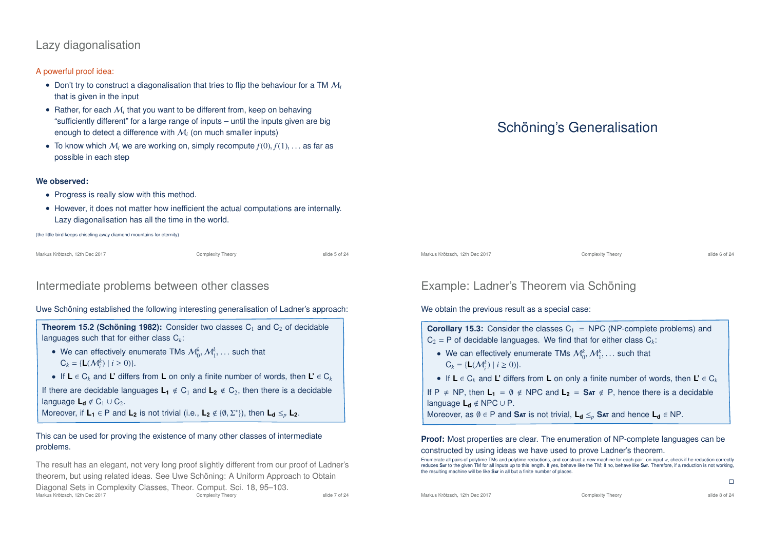## Lazy diagonalisation

### A powerful proof idea:

- Don't try to construct a diagonalisation that tries to flip the behaviour for a TM M*<sup>i</sup>* that is given in the input
- Rather, for each  $\mathcal{M}_i$  that you want to be different from, keep on behaving "sufficiently different" for a large range of inputs – until the inputs given are big enough to detect a difference with M*<sup>i</sup>* (on much smaller inputs)
- To know which  $M_i$  we are working on, simply recompute  $f(0), f(1), \ldots$  as far as possible in each step

#### **We observed:**

- Progress is really slow with this method.
- However, it does not matter how inefficient the actual computations are internally. Lazy diagonalisation has all the time in the world.

(the little bird keeps chiseling away diamond mountains for eternity)

Markus Krötzsch, 12th Dec 2017 **Complexity Theory** Complexity Theory slide 5 of 24

### Intermediate problems between other classes

#### Uwe Schöning established the following interesting generalisation of Ladner's approach:

### **Theorem 15.2 (Schöning 1982):** Consider two classes C<sub>1</sub> and C<sub>2</sub> of decidable languages such that for either class C*k*:

- We can effectively enumerate TMs  $\mathcal{M}_0^k$ ,  $\mathcal{M}_1^k$ , ... such that  $C_k = \{L(\mathcal{M}_i^k) \mid i \ge 0)\}.$
- If **L** ∈ C*<sup>k</sup>* and **L'** differs from **L** on only a finite number of words, then **L'** ∈ C*<sup>k</sup>*

If there are decidable languages  $L_1 \notin C_1$  and  $L_2 \notin C_2$ , then there is a decidable language  $L_d \notin C_1 \cup C_2$ .

Moreover, if  $L_1 \in P$  and  $L_2$  is not trivial (i.e.,  $L_2 \notin \{0, \Sigma^*\}$ ), then  $L_d \leq_p L_2$ .

### This can be used for proving the existence of many other classes of intermediate problems.

The result has an elegant, not very long proof slightly different from our proof of Ladner's theorem, but using related ideas. See Uwe Schöning: A Uniform Approach to Obtain Diagonal Sets in Complexity Classes, Theor. Comput. Sci. 18, 95-103.<br>Markus Krötzsch. 12th Dec 2017 Markus Krötzsch, 12th Dec 2017 **Complexity Theory** Complexity Theory slide 7 of 24

## Schöning's Generalisation

Markus Krötzsch, 12th Dec 2017 **Complexity Theory** Complexity Theory **Complexity Theory** slide 6 of 24

## Example: Ladner's Theorem via Schöning

#### We obtain the previous result as a special case:

**Corollary 15.3:** Consider the classes  $C_1$  = NPC (NP-complete problems) and  $C_2 = P$  of decidable languages. We find that for either class  $C_k$ :

- We can effectively enumerate TMs  $\mathcal{M}_0^k, \mathcal{M}_1^k, \ldots$  such that  $C_k = \{L(\mathcal{M}_i^k) \mid i \ge 0)\}.$
- If **L** ∈ C*<sup>k</sup>* and **L'** differs from **L** on only a finite number of words, then **L'** ∈ C*<sup>k</sup>*

If P  $\neq$  NP, then  $L_1 = \emptyset \notin \text{NPC}$  and  $L_2 = \text{SAT} \notin P$ , hence there is a decidable language **L<sup>d</sup>** < NPC ∪ P.

Moreover, as  $\emptyset \in P$  and **SAT** is not trivial,  $L_d \leq_p S_{AT}$  and hence  $L_d \in NP$ .

#### **Proof:** Most properties are clear. The enumeration of NP-complete languages can be constructed by using ideas we have used to prove Ladner's theorem.

Enumerate all pairs of polytime TMs and polytime reductions, and construct a new machine for each pair: on input *w*, check if he reduction correctly reduces **S**at to the given TM for all inputs up to this length. If yes, behave like the TM; if no, behave like **S**at. Therefore, if a reduction is not working, the resulting machine will be like **S**at in all but a finite number of places.

Markus Krötzsch, 12th Dec 2017 **Complexity Theory** Complexity Theory **Complexity Theory** slide 8 of 24

 $\Box$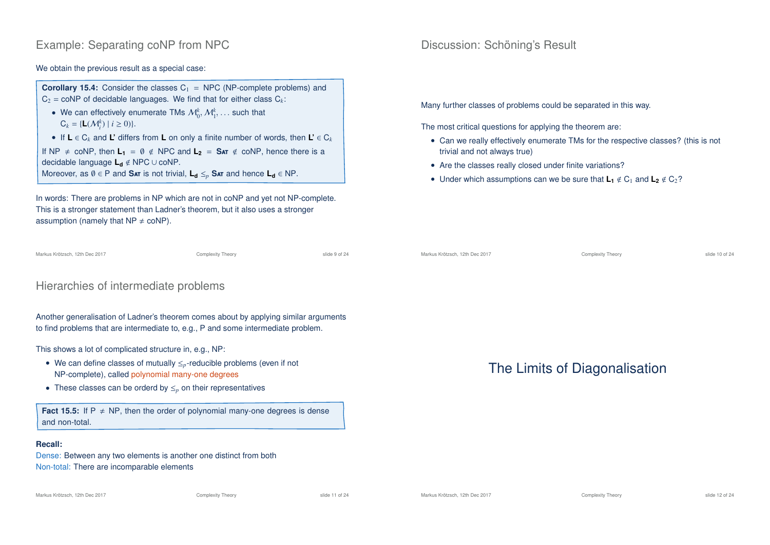## Example: Separating coNP from NPC

We obtain the previous result as a special case:

**Corollary 15.4:** Consider the classes  $C_1$  = NPC (NP-complete problems) and  $C_2$  = coNP of decidable languages. We find that for either class  $C_k$ .

• We can effectively enumerate TMs  $\mathcal{M}_0^k, \mathcal{M}_1^k, \dots$  such that  $C_k = \{L(\mathcal{M}_i^k) \mid i \ge 0)\}.$ 

• If **L** ∈ C*<sup>k</sup>* and **L'** differs from **L** on only a finite number of words, then **L'** ∈ C*<sup>k</sup>* If NP  $\neq$  coNP, then  $L_1 = \emptyset \notin \text{NPC}$  and  $L_2 = \text{SAT} \notin \text{coNP}$ , hence there is a decidable language **L<sup>d</sup>** < NPC ∪ coNP. Moreover, as  $\emptyset \in P$  and Sat is not trivial,  $L_d \leq_p S$ at and hence  $L_d \in NP$ .

In words: There are problems in NP which are not in coNP and yet not NP-complete. This is a stronger statement than Ladner's theorem, but it also uses a stronger assumption (namely that  $NP \neq coNP$ ).

```
Markus Krötzsch, 12th Dec 2017 Complexity Theory slide 9 of 24
```
## Hierarchies of intermediate problems

Another generalisation of Ladner's theorem comes about by applying similar arguments to find problems that are intermediate to, e.g., P and some intermediate problem.

This shows a lot of complicated structure in, e.g., NP:

- We can define classes of mutually ≤*p*-reducible problems (even if not NP-complete), called polynomial many-one degrees
- These classes can be orderd by ≤*<sup>p</sup>* on their representatives

**Fact 15.5:** If  $P \neq NP$ , then the order of polynomial many-one degrees is dense and non-total.

### **Recall:**

Dense: Between any two elements is another one distinct from both Non-total: There are incomparable elements

## Discussion: Schöning's Result

Many further classes of problems could be separated in this way.

The most critical questions for applying the theorem are:

- Can we really effectively enumerate TMs for the respective classes? (this is not trivial and not always true)
- Are the classes really closed under finite variations?
- Under which assumptions can we be sure that  $\mathbf{L}_1 \notin C_1$  and  $\mathbf{L}_2 \notin C_2$ ?

Markus Krötzsch, 12th Dec 2017 Complexity Theory slide 10 of 24

## The Limits of Diagonalisation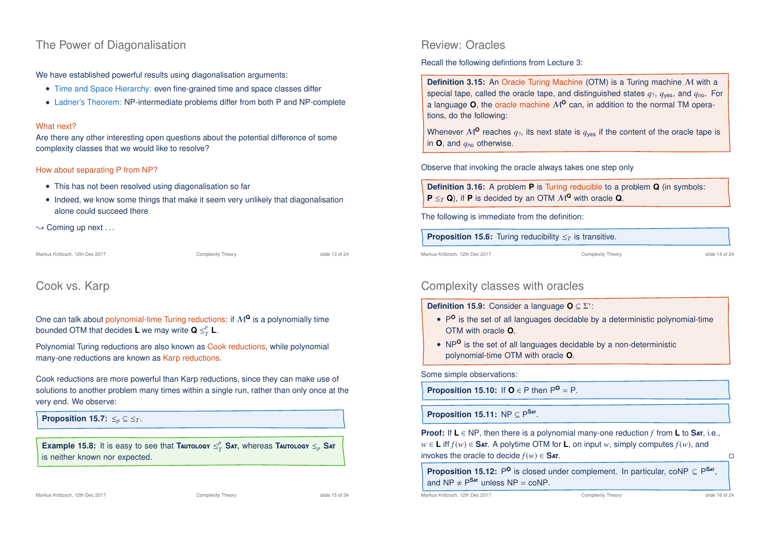### The Power of Diagonalisation

We have established powerful results using diagonalisation arguments:

- Time and Space Hierarchy: even fine-grained time and space classes differ
- Ladner's Theorem: NP-intermediate problems differ from both P and NP-complete

#### What next?

Are there any other interesting open questions about the potential difference of some complexity classes that we would like to resolve?

#### How about separating P from NP?

- This has not been resolved using diagonalisation so far
- Indeed, we know some things that make it seem very unlikely that diagonalisation alone could succeed there

 $\sim$  Coming up next ...

Markus Krötzsch, 12th Dec 2017 Complexity Theory slide 13 of 24

## Cook vs. Karp

One can talk about polynomial-time Turing reductions: if M**<sup>Q</sup>** is a polynomially time bounded OTM that decides **L** we may write  $\mathbf{Q} \leq_T^p \mathbf{L}$ .

Polynomial Turing reductions are also known as Cook reductions, while polynomial many-one reductions are known as Karp reductions.

Cook reductions are more powerful than Karp reductions, since they can make use of solutions to another problem many times within a single run, rather than only once at the very end. We observe:

**Proposition 15.7:**  $\leq_p \subseteq \leq_T$ .

**Example 15.8:** It is easy to see that **TAUTOLOGY**  $\leq^p_T$  SAT, whereas **TAUTOLOGY**  $\leq_p$  SAT is neither known nor expected.

### Review: Oracles

Recall the following defintions from Lecture 3:

**Definition 3.15:** An Oracle Turing Machine (OTM) is a Turing machine M with a special tape, called the oracle tape, and distinguished states *q*?, *q*yes, and *q*no. For a language  $O$ , the oracle machine  $M^O$  can, in addition to the normal TM operations, do the following:

Whenever  $M^{\mathbf{0}}$  reaches  $q_2$ , its next state is  $q_{\text{ves}}$  if the content of the oracle tape is in **O**, and *q*no otherwise.

Observe that invoking the oracle always takes one step only

**Definition 3.16:** A problem **P** is Turing reducible to a problem **Q** (in symbols: **P**  $\leq_T$  **Q**), if **P** is decided by an OTM  $M^Q$  with oracle **Q**.

The following is immediate from the definition:

**Proposition 15.6:** Turing reducibility  $\leq_T$  is transitive.

Markus Krötzsch, 12th Dec 2017 Complexity Theory slide 14 of 24

## Complexity classes with oracles

**Definition 15.9:** Consider a language **O** ⊆ Σ ∗ :

- P<sup>o</sup> is the set of all languages decidable by a deterministic polynomial-time OTM with oracle **O**,
- NP**<sup>O</sup>** is the set of all languages decidable by a non-deterministic polynomial-time OTM with oracle **O**.

Some simple observations:

**Proposition 15.10:** If  $O \in P$  then  $P^O = P$ .

**Proposition 15.11:**  $NP \subseteq P^{Sar}$ .

**Proof:** If **L** ∈ NP, then there is a polynomial many-one reduction *f* from **L** to **S**at, i.e., *w* ∈ **L** iff  $f(w)$  ∈ **Sat.** A polytime OTM for **L**, on input *w*, simply computes  $f(w)$ , and invokes the oracle to decide *f*(*w*) ∈ **S**at.

**Proposition 15.12:** P<sup>O</sup> is closed under complement. In particular, coNP  $\subseteq P^{Sar}$ , and  $NP \neq P^{SAT}$  unless  $NP = coNP$ .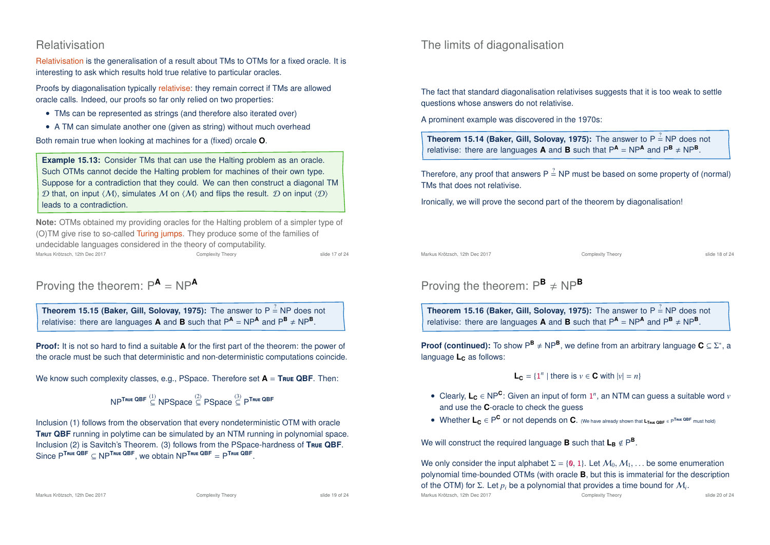### Relativisation

Relativisation is the generalisation of a result about TMs to OTMs for a fixed oracle. It is interesting to ask which results hold true relative to particular oracles.

Proofs by diagonalisation typically relativise: they remain correct if TMs are allowed oracle calls. Indeed, our proofs so far only relied on two properties:

- TMs can be represented as strings (and therefore also iterated over)
- A TM can simulate another one (given as string) without much overhead

Both remain true when looking at machines for a (fixed) orcale **O**.

**Example 15.13:** Consider TMs that can use the Halting problem as an oracle. Such OTMs cannot decide the Halting problem for machines of their own type. Suppose for a contradiction that they could. We can then construct a diagonal TM D that, on input  $\langle M \rangle$ , simulates M on  $\langle M \rangle$  and flips the result. D on input  $\langle D \rangle$ leads to a contradiction.

**Note:** OTMs obtained my providing oracles for the Halting problem of a simpler type of (O)TM give rise to so-called Turing jumps. They produce some of the families of undecidable languages considered in the theory of computability. Markus Krötzsch, 12th Dec 2017 Complexity Theory slide 17 of 24

# Proving the theorem:  $P^A = NP^A$

**Theorem 15.15 (Baker, Gill, Solovay, 1975):** The answer to P  $\stackrel{?}{=}$  NP does not relativise: there are languages **A** and **B** such that  $P^{\text{A}} = NP^{\text{A}}$  and  $P^{\text{B}} \neq NP^{\text{B}}$ .

**Proof:** It is not so hard to find a suitable **A** for the first part of the theorem: the power of the oracle must be such that deterministic and non-deterministic computations coincide.

We know such complexity classes, e.g., PSpace. Therefore set **A** = **T**rue **QBF**. Then:

$$
\mathsf{NP}^{\mathsf{True}\ \mathsf{QBF}} \overset{(1)}{\subseteq} \mathsf{NPSpace} \overset{(2)}{\subseteq} \mathsf{PSpace} \overset{(3)}{\subseteq} \mathsf{P}^{\mathsf{True}\ \mathsf{QBF}}
$$

Inclusion (1) follows from the observation that every nondeterministic OTM with oracle **TRUT QBF** running in polytime can be simulated by an NTM running in polynomial space. Inclusion (2) is Savitch's Theorem. (3) follows from the PSpace-hardness of **T**rue **QBF**. Since P**<sup>T</sup>**rue **QBF** <sup>⊆</sup> NP**<sup>T</sup>**rue **QBF**, we obtain NP**<sup>T</sup>**rue **QBF** <sup>=</sup> <sup>P</sup> **T**rue **QBF** .

Markus Krötzsch, 12th Dec 2017 Complexity Theory slide 19 of 24

### The limits of diagonalisation

The fact that standard diagonalisation relativises suggests that it is too weak to settle questions whose answers do not relativise.

A prominent example was discovered in the 1970s:

**Theorem 15.14 (Baker, Gill, Solovay, 1975):** The answer to  $P \stackrel{?}{=} NP$  does not relativise: there are languages **A** and **B** such that  $P^{\mathsf{A}} = NP^{\mathsf{A}}$  and  $P^{\mathsf{B}} \neq NP^{\mathsf{B}}$ .

Therefore, any proof that answers P  $\stackrel{?}{=}$  NP must be based on some property of (normal) TMs that does not relativise.

Ironically, we will prove the second part of the theorem by diagonalisation!

Markus Krötzsch, 12th Dec 2017 Complexity Theory slide 18 of 24

## Proving the theorem:  $P^B \neq NP^B$

**Theorem 15.16 (Baker, Gill, Solovay, 1975):** The answer to P  $\stackrel{?}{=}$  NP does not relativise: there are languages **A** and **B** such that  $P^{\mathsf{A}} = NP^{\mathsf{A}}$  and  $P^{\mathsf{B}} \neq NP^{\mathsf{B}}$ .

**Proof (continued):** To show  $P^{\mathbf{B}} \neq NP^{\mathbf{B}}$ , we define from an arbitrary language  $\mathbf{C} \subseteq \Sigma^*$ , a language **L<sub>C</sub>** as follows:

 $L_C = \{1^n | \text{ there is } v \in C \text{ with } |v| = n\}$ 

- Clearly, **<sup>L</sup><sup>C</sup>** <sup>∈</sup> NP**<sup>C</sup>** : Given an input of form 1 *n* , an NTM can guess a suitable word *v* and use the **C**-oracle to check the guess
- Whether **L<sup>C</sup>** ∈ P **<sup>C</sup>** or not depends on **C**. (We have already shown that **<sup>L</sup>T**rue **QBF** <sup>∈</sup> <sup>P</sup> **<sup>T</sup>**rue **QBF** must hold)

We will construct the required language **B** such that  $L_B \notin P^B$ .

We only consider the input alphabet  $\Sigma = \{0, 1\}$ . Let  $\mathcal{M}_0, \mathcal{M}_1, \ldots$  be some enumeration polynomial time-bounded OTMs (with oracle **B**, but this is immaterial for the description of the OTM) for Σ. Let  $p_i$  be a polynomial that provides a time bound for  $\mathcal{M}_i$ .